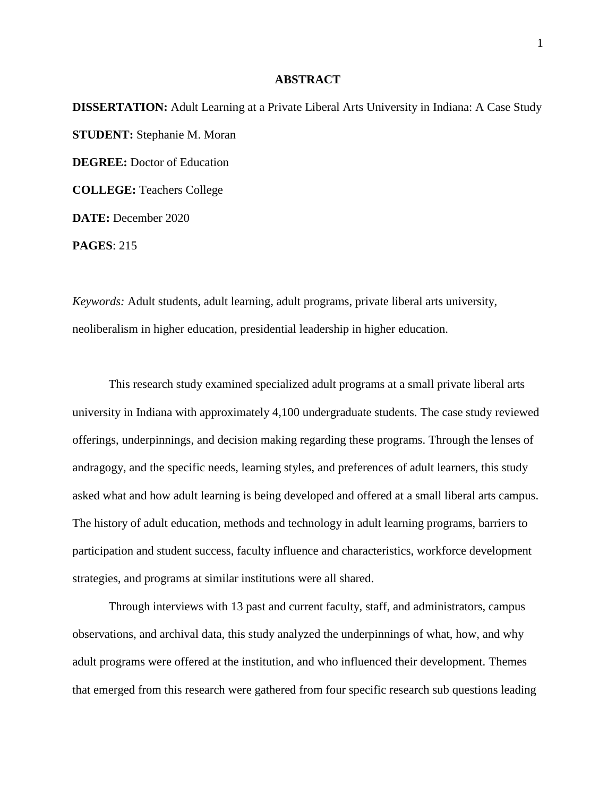## **ABSTRACT**

**DISSERTATION:** Adult Learning at a Private Liberal Arts University in Indiana: A Case Study **STUDENT:** Stephanie M. Moran **DEGREE:** Doctor of Education **COLLEGE:** Teachers College **DATE:** December 2020 **PAGES**: 215

*Keywords:* Adult students, adult learning, adult programs, private liberal arts university, neoliberalism in higher education, presidential leadership in higher education.

This research study examined specialized adult programs at a small private liberal arts university in Indiana with approximately 4,100 undergraduate students. The case study reviewed offerings, underpinnings, and decision making regarding these programs. Through the lenses of andragogy, and the specific needs, learning styles, and preferences of adult learners, this study asked what and how adult learning is being developed and offered at a small liberal arts campus. The history of adult education, methods and technology in adult learning programs, barriers to participation and student success, faculty influence and characteristics, workforce development strategies, and programs at similar institutions were all shared.

Through interviews with 13 past and current faculty, staff, and administrators, campus observations, and archival data, this study analyzed the underpinnings of what, how, and why adult programs were offered at the institution, and who influenced their development. Themes that emerged from this research were gathered from four specific research sub questions leading